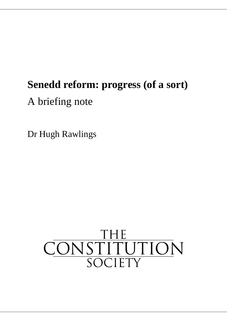# **Senedd reform: progress (of a sort)**

A briefing note

Dr Hugh Rawlings

# CONSTITUTION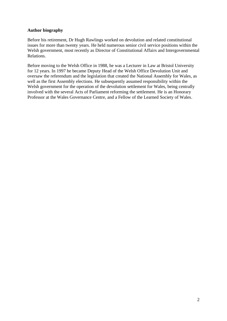## **Author biography**

Before his retirement, Dr Hugh Rawlings worked on devolution and related constitutional issues for more than twenty years. He held numerous senior civil service positions within the Welsh government, most recently as Director of Constitutional Affairs and Intergovernmental Relations.

Before moving to the Welsh Office in 1988, he was a Lecturer in Law at Bristol University for 12 years. In 1997 he became Deputy Head of the Welsh Office Devolution Unit and oversaw the referendum and the legislation that created the National Assembly for Wales, as well as the first Assembly elections. He subsequently assumed responsibility within the Welsh government for the operation of the devolution settlement for Wales, being centrally involved with the several Acts of Parliament reforming the settlement. He is an Honorary Professor at the Wales Governance Centre, and a Fellow of the Learned Society of Wales.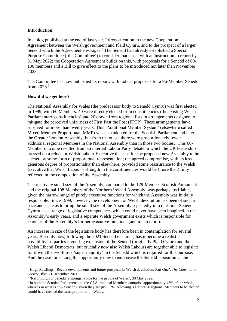# **Introduction**

In a blog published at the end of last year, I drew attention to the new Cooperation Agreement between the Welsh government and Plaid Cymru, and to the prospect of a larger Senedd which the Agreement envisages.<sup>1</sup> The Senedd had already established a Special Purpose Committee ('the Committee') to consider that issue, with an instruction to report by 31 May 2022; the Cooperation Agreement builds on this, with proposals for a Senedd of 80- 100 members and a Bill to give effect to the plans to be introduced not later than November 2023.

The Committee has now published its report, with radical proposals for a 96-Member Senedd from 2026. 2

# **How did we get here?**

The National Assembly for Wales (the predecessor body to Senedd Cymru) was first elected in 1999, with 60 Members. 40 were directly elected from constituencies (the existing Welsh Parliamentary constituencies) and 20 drawn from regional lists in arrangements designed to mitigate the perceived unfairness of First Past the Post (FPTP). These arrangements have survived for more than twenty years. This 'Additional Member System' (elsewhere called Mixed-Member Proportional, MMP) was also adopted for the Scottish Parliament and later the Greater London Assembly, but from the outset there were proportionately fewer additional regional Members in the National Assembly than in those two bodies.<sup>3</sup> This 60-Member outcome resulted from an internal Labour Party debate in which the UK leadership pressed on a reluctant Welsh Labour Executive the case for the proposed new Assembly to be elected by some form of proportional representation; the agreed compromise, with its less generous degree of proportionality than elsewhere, provided some reassurance to the Welsh Executive that Welsh Labour's strength in the constituencies would be (more than) fully reflected in the composition of the Assembly.

The relatively small size of the Assembly, compared to the 129-Member Scottish Parliament and the original 108 Members of the Northern Ireland Assembly, was perhaps justifiable, given the narrow range of purely executive functions for which the Assembly was initially responsible. Since 1999, however, the development of Welsh devolution has been of such a pace and scale as to bring the small size of the Assembly repeatedly into question; Senedd Cymru has a range of legislative competences which could never have been imagined in the Assembly's early years, and a separate Welsh government exists which is responsible for exercise of the Assembly's former executive functions (and much more).

An increase in size of the legislative body has therefore been in contemplation for several years. But only now, following the 2021 Senedd elections, has it become a realistic possibility, as parties favouring expansion of the Senedd (originally Plaid Cymru and the Welsh Liberal Democrats, but crucially now also Welsh Labour) are together able to legislate for it with the two-thirds 'super majority' in the Senedd which is required for this purpose. And the case for seizing this opportunity now to emphasise the Senedd's position as the

<sup>1</sup> Hugh Rawlings, 'Recent developments and future prospects in Welsh devolution: Part One', *The Constitution Society Blog*, 21 December 2021.

<sup>&</sup>lt;sup>2</sup> 'Reforming our Senedd: a stronger voice for the people of Wales', 30 May 2022.

<sup>&</sup>lt;sup>3</sup> In both the Scottish Parliament and the GLA, regional Members comprise approximately 43% of the whole, whereas in what is now Senedd Cymru they are just 33%. Allowing 30 rather 20 regional Members to be elected would have created the same proportion in Wales.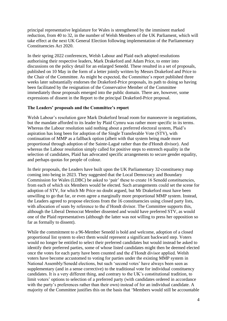principal representative legislature for Wales is strengthened by the imminent marked reduction, from 40 to 32, in the number of Welsh Members of the UK Parliament, which will take effect at the next UK General Election following implementation of the Parliamentary Constituencies Act 2020.

In their spring 2022 conferences, Welsh Labour and Plaid each adopted resolutions authorising their respective leaders, Mark Drakeford and Adam Price, to enter into discussions on the policy detail for an enlarged Senedd. These resulted in a set of proposals, published on 10 May in the form of a letter jointly written by Messrs Drakeford and Price to the Chair of the Committee. As might be expected, the Committee's report published three weeks later substantially endorses the Drakeford-Price proposals, its path to doing so having been facilitated by the resignation of the Conservative Member of the Committee immediately those proposals emerged into the public domain. There are, however, some expressions of dissent in the Report to the principal Drakeford-Price proposal.

### **The Leaders' proposals and the Committee's report**

Welsh Labour's resolution gave Mark Drakeford broad room for manoeuvre in negotiations, but the mandate afforded to its leader by Plaid Cymru was rather more specific in its terms. Whereas the Labour resolution said nothing about a preferred electoral system, Plaid's aspiration has long been for adoption of the Single Transferable Vote (STV), with continuation of MMP as a fallback option (albeit with that system being made more proportional through adoption of the Sainte-Laguë rather than the d'Hondt divisor). And whereas the Labour resolution simply called for positive steps to entrench equality in the selection of candidates, Plaid has advocated specific arrangements to secure gender equality, and perhaps quotas for people of colour.

In their proposals, the Leaders have built upon the UK Parliamentary 32-constituency map coming into being in 2023. They suggested that the Local Democracy and Boundary Commission for Wales (LDBC) be asked to 'pair' these to create 16 Senedd constituencies, from each of which six Members would be elected. Such arrangements could set the scene for adoption of STV, for which Mr Price no doubt argued, but Mr Drakeford must have been unwilling to go that far, or even agree a marginally more proportional MMP system. Instead, the Leaders agreed to propose elections from the 16 constituencies using closed party lists, with allocation of seats by reference to the d'Hondt divisor. The Committee supports this, although the Liberal Democrat Member dissented and would have preferred STV, as would one of the Plaid representatives (although the latter was not willing to press her opposition so far as formally to dissent).

While the commitment to a 96-Member Senedd is bold and welcome, adoption of a closed proportional list system to elect them would represent a significant backward step. Voters would no longer be entitled to select their preferred candidates but would instead be asked to identify their preferred parties, some of whose listed candidates might then be deemed elected once the votes for each party have been counted and the d'Hondt divisor applied. Welsh voters have become accustomed to voting for parties under the existing MMP system in National Assembly/Senedd elections, but such 'second votes' have always been seen as supplementary (and in a sense corrective) to the traditional vote for individual constituency candidates. It is a very different thing, and contrary to the UK's constitutional tradition, to limit voters' options to selection of a preferred party (with candidates ordered in accordance with the party's preferences rather than their own) instead of for an individual candidate. A majority of the Committee justifies this on the basis that 'Members would still be accountable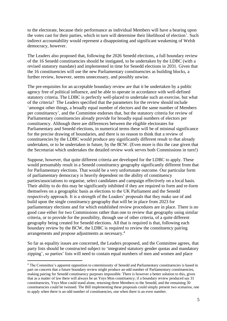to the electorate, because their performance as individual Members will have a bearing upon the votes cast for their parties, which in turn will determine their likelihood of election'. Such indirect accountability would represent a disappointing and significant weakening of Welsh democracy, however.

The Leaders also proposed that, following the 2026 Senedd elections, a full boundary review of the 16 Senedd constituencies should be instigated, to be undertaken by the LDBC (with a revised statutory mandate) and implemented in time for Senedd elections in 2031. Given that the 16 constituencies will use the new Parliamentary constituencies as building blocks, a further review, however, seems unnecessary, and possibly unwise.

The pre-requisites for an acceptable boundary review are that it be undertaken by a public agency free of political influence, and be able to operate in accordance with well-defined statutory criteria. The LDBC is perfectly well-placed to undertake such an exercise, but what of the criteria? The Leaders specified that the parameters for the review should include 'amongst other things, a broadly equal number of electors and the same number of Members per constituency', and the Committee endorses that, but the statutory criteria for review of Parliamentary constituencies already provide for broadly equal numbers of electors per constituency. Although there are differences between the eligible electorates for Parliamentary and Senedd elections, in numerical terms these will be of minimal significance for the precise drawing of boundaries, and there is no reason to think that a review of constituencies by the LDBC would produce any significantly different result to that already undertaken, or to be undertaken in future, by the BCW. (Even more is this the case given that the Secretariat which undertakes the detailed review work serves both Commissions in turn!)

Suppose, however, that quite different criteria are developed for the LDBC to apply. These would presumably result in a Senedd constituency geography significantly different from that for Parliamentary elections. That would be a very unfortunate outcome. Our particular form of parliamentary democracy is heavily dependent on the ability of constituency parties/associations to organise, select candidates and campaign effectively on a local basis. Their ability to do this may be significantly inhibited if they are required to form and re-form themselves on a geographic basis as elections to the UK Parliament and the Senedd respectively approach. It is a strength of the Leaders' proposals that they make use of and build upon the single constituency geography that will be in place from 2023 for parliamentary elections and for which established review procedures are in place. There is no good case either for two Commissions rather than one to review that geography using similar criteria, or to provide for the possibility, through use of other criteria, of a quite different geography being created for Senedd elections. All that is required is that, following each boundary review by the BCW, the LDBC is required to review the constituency pairing arrangements and propose adjustments as necessary. 4

So far as equality issues are concerned, the Leaders proposed, and the Committee agrees, that party lists should be constructed subject to 'integrated statutory gender quotas and mandatory zipping', so parties' lists will need to contain equal numbers of men and women and place

<sup>4</sup> The Committee's apparent opposition to coterminosity of Senedd and Parliamentary constituencies is based in part on concern that a future boundary review might produce an odd number of Parliamentary constituencies, making pairing for Senedd constituency purposes impossible. There is however a better solution to this, given that as a matter of law there will always be an Ynys Mon constituency; if a boundary review produced say 31 constituencies, Ynys Mon could stand alone, returning three Members to the Senedd, and the remaining 30 constituencies could be twinned. The Bill implementing these proposals could simply present two scenarios, one to apply when there is an odd number of constituencies, one when there is an even number.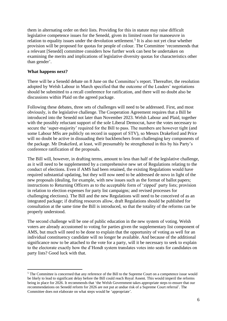them in alternating order on their lists. Providing for this in statute may raise difficult legislative competence issues for the Senedd, given its limited room for manoeuvre in relation to equality issues under the devolution settlement.<sup>5</sup> It is also not yet clear whether provision will be proposed for quotas for people of colour. The Committee 'recommends that a relevant [Senedd] committee considers how further work can best be undertaken on examining the merits and implications of legislative diversity quotas for characteristics other than gender'.

### **What happens next?**

There will be a Senedd debate on 8 June on the Committee's report. Thereafter, the resolution adopted by Welsh Labour in March specified that the outcome of the Leaders' negotiations should be submitted to a recall conference for ratification, and there will no doubt also be discussions within Plaid on the agreed package.

Following these debates, three sets of challenges will need to be addressed. First, and most obviously, is the legislative challenge. The Cooperation Agreement requires that a Bill be introduced into the Senedd not later than November 2023. Welsh Labour and Plaid, together with the possibly reluctant support of the sole Liberal Democrat, have the votes necessary to secure the 'super-majority' required for the Bill to pass. The numbers are however tight (and some Labour MSs are publicly on record in support of STV), so Messrs Drakeford and Price will no doubt be active in dissuading their backbenchers from challenging key components of the package. Mr Drakeford, at least, will presumably be strengthened in this by his Party's conference ratification of the proposals.

The Bill will, however, in drafting terms, amount to less than half of the legislative challenge, as it will need to be supplemented by a comprehensive new set of Regulations relating to the conduct of elections. Even if AMS had been retained, the existing Regulations would have required substantial updating, but they will now need to be addressed de novo in light of the new proposals (dealing, for example, with new issues such as the format of ballot papers; instructions to Returning Officers as to the acceptable form of 'zipped' party lists; provision in relation to election expenses for party list campaigns; and revised processes for challenging elections). The Bill and the new Regulations will need to be conceived of as an integrated package; if drafting resources allow, draft Regulations should be published for consultation at the same time the Bill is introduced, so that the totality of the reforms can be properly understood.

The second challenge will be one of public education in the new system of voting. Welsh voters are already accustomed to voting for parties given the supplementary list component of AMS, but much will need to be done to explain that the opportunity of voting as well for an individual constituency candidate will no longer be available. And because of the additional significance now to be attached to the vote for a party, will it be necessary to seek to explain to the electorate exactly how the d'Hondt system translates votes into seats for candidates on party lists? Good luck with that.

<sup>&</sup>lt;sup>5</sup> The Committee is concerned that any reference of the Bill to the Supreme Court on a competence issue would be likely to lead to significant delay before the Bill could reach Royal Assent. This would imperil the reforms being in place for 2026. It recommends that 'the Welsh Government takes appropriate steps to ensure that our recommendations on Senedd reform for 2026 are not put at undue risk of a Supreme Court referral'. The Committee does not elaborate on what steps would be 'appropriate'.